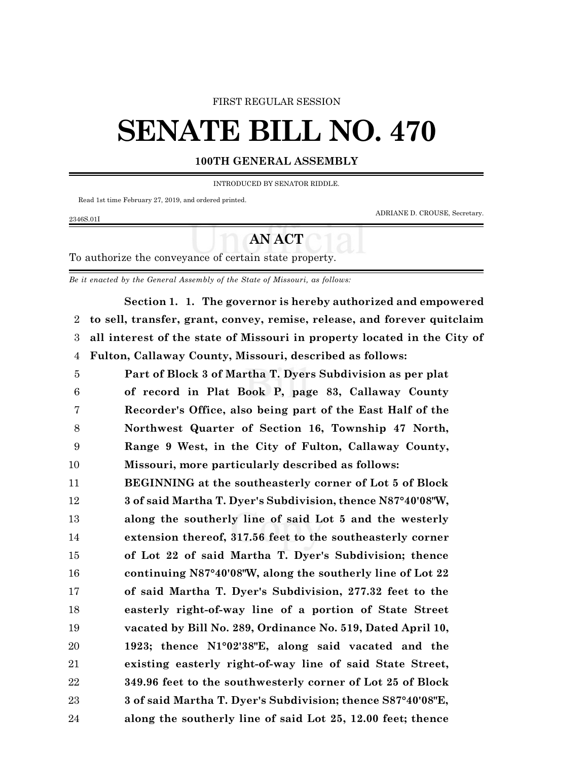#### FIRST REGULAR SESSION

# **SENATE BILL NO. 470**

#### **100TH GENERAL ASSEMBLY**

INTRODUCED BY SENATOR RIDDLE.

Read 1st time February 27, 2019, and ordered printed.

ADRIANE D. CROUSE, Secretary.

## 2346S.01I

### **AN ACT**

To authorize the conveyance of certain state property.

*Be it enacted by the General Assembly of the State of Missouri, as follows:*

**Section 1. 1. The governor is hereby authorized and empowered to sell, transfer, grant, convey, remise, release, and forever quitclaim all interest of the state of Missouri in property located in the City of Fulton, Callaway County, Missouri, described as follows:**

 **Part of Block 3 of Martha T. Dyers Subdivision as per plat of record in Plat Book P, page 83, Callaway County Recorder's Office, also being part of the East Half of the Northwest Quarter of Section 16, Township 47 North, Range 9 West, in the City of Fulton, Callaway County, Missouri, more particularly described as follows:**

 **BEGINNING at the southeasterly corner of Lot 5 of Block 3 of said Martha T. Dyer's Subdivision, thence N87°40'08"W, along the southerly line of said Lot 5 and the westerly extension thereof, 317.56 feet to the southeasterly corner of Lot 22 of said Martha T. Dyer's Subdivision; thence continuing N87°40'08"W, along the southerly line of Lot 22 of said Martha T. Dyer's Subdivision, 277.32 feet to the easterly right-of-way line of a portion of State Street vacated by Bill No. 289, Ordinance No. 519, Dated April 10, 1923; thence N1°02'38"E, along said vacated and the existing easterly right-of-way line of said State Street, 349.96 feet to the southwesterly corner of Lot 25 of Block 3 of said Martha T. Dyer's Subdivision; thence S87°40'08"E, along the southerly line of said Lot 25, 12.00 feet; thence**